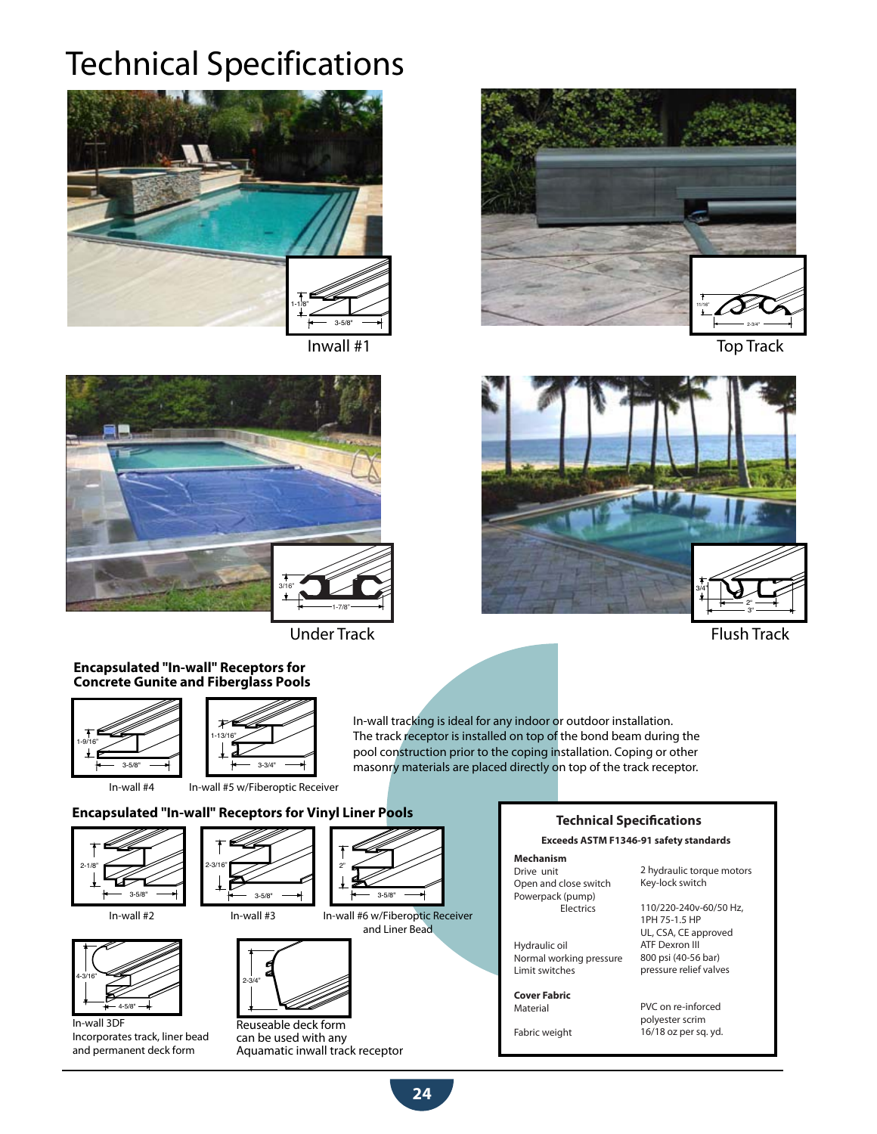## Technical Specifications





Under Track Flush Track Flush Track

### **Encapsulated "In-wall" Receptors for Concrete Gunite and Fiberglass Pools**



In-wall #5 w/Fiberoptic Receiver

In-wall tracking is ideal for any indoor or outdoor installation. The track receptor is installed on top of the bond beam during the pool construction prior to the coping installation. Coping or other masonry materials are placed directly on top of the track receptor.

## **Encapsulated "In-wall" Receptors for Vinyl Liner Pools**



In-wall #4

2-3/16" 3-5/8"



In-wall 3DF Incorporates track, liner bead and permanent deck form





Inwall #1 Top Track



## **Technical Specifications**

#### **Exceeds ASTM F1346-91 safety standards**

## **Mechanism**

Drive unit Open and close switch Powerpack (pump) **Electrics** 

Hydraulic oil Normal working pressure Limit switches

#### **Cover Fabric** Material

Fabric weight

2 hydraulic torque motors Key-lock switch

110/220-240v-60/50 Hz, 1PH 75-1.5 HP UL, CSA, CE approved ATF Dexron III 800 psi (40-56 bar) pressure relief valves

PVC on re-inforced polyester scrim 16/18 oz per sq. yd.